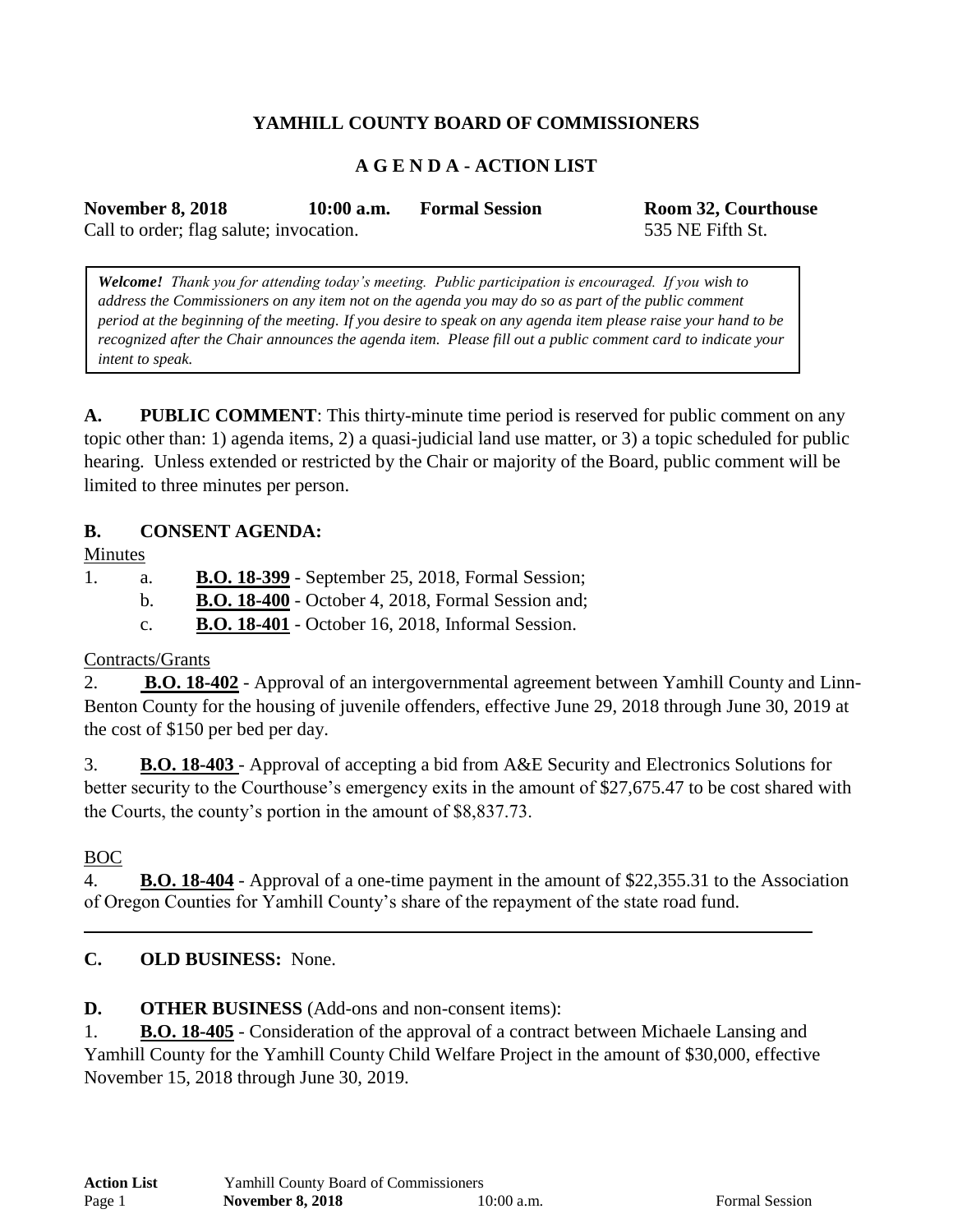# **YAMHILL COUNTY BOARD OF COMMISSIONERS**

## **A G E N D A - ACTION LIST**

**November 8, 2018 10:00 a.m. Formal Session Room 32, Courthouse**

Call to order; flag salute; invocation. 535 NE Fifth St.

*Welcome! Thank you for attending today's meeting. Public participation is encouraged. If you wish to address the Commissioners on any item not on the agenda you may do so as part of the public comment period at the beginning of the meeting. If you desire to speak on any agenda item please raise your hand to be recognized after the Chair announces the agenda item. Please fill out a public comment card to indicate your intent to speak.*

**A. PUBLIC COMMENT**: This thirty-minute time period is reserved for public comment on any topic other than: 1) agenda items, 2) a quasi-judicial land use matter, or 3) a topic scheduled for public hearing. Unless extended or restricted by the Chair or majority of the Board, public comment will be limited to three minutes per person.

#### **B. CONSENT AGENDA:**

Minutes

- 1. a. **B.O. 18-399** September 25, 2018, Formal Session;
	- b. **B.O. 18-400** October 4, 2018, Formal Session and;
		- c. **B.O. 18-401** October 16, 2018, Informal Session.

### Contracts/Grants

2. **B.O. 18-402** - Approval of an intergovernmental agreement between Yamhill County and Linn-Benton County for the housing of juvenile offenders, effective June 29, 2018 through June 30, 2019 at the cost of \$150 per bed per day.

3. **B.O. 18-403** - Approval of accepting a bid from A&E Security and Electronics Solutions for better security to the Courthouse's emergency exits in the amount of \$27,675.47 to be cost shared with the Courts, the county's portion in the amount of \$8,837.73.

### BOC

4. **B.O. 18-404** - Approval of a one-time payment in the amount of \$22,355.31 to the Association of Oregon Counties for Yamhill County's share of the repayment of the state road fund.

### **C. OLD BUSINESS:** None.

**D. OTHER BUSINESS** (Add-ons and non-consent items):

1. **B.O. 18-405** - Consideration of the approval of a contract between Michaele Lansing and Yamhill County for the Yamhill County Child Welfare Project in the amount of \$30,000, effective November 15, 2018 through June 30, 2019.